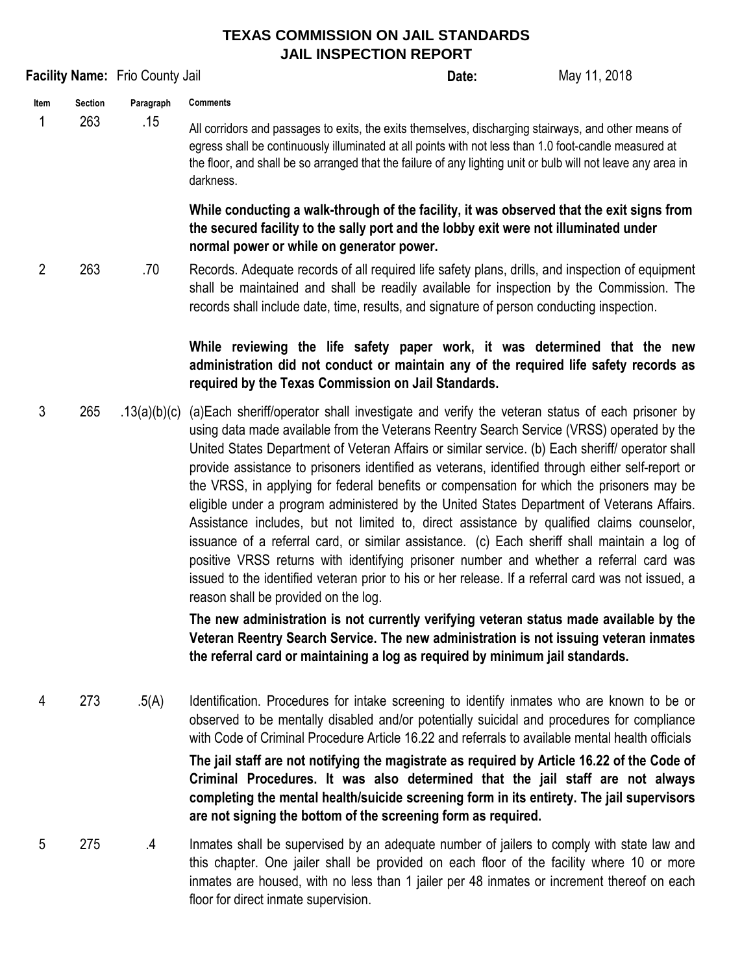## **TEXAS COMMISSION ON JAIL STANDARDS JAIL INSPECTION REPORT**

|                |                |                                 | <b>JAIL INSPECTION REPORT</b>                                                                                                                                                                                                                                                                                                                                                                                                                                                                                                                                                                                                                                                                                                                                                                                                                                                                                                                                                                                                                                                                                                                                                                                         |              |
|----------------|----------------|---------------------------------|-----------------------------------------------------------------------------------------------------------------------------------------------------------------------------------------------------------------------------------------------------------------------------------------------------------------------------------------------------------------------------------------------------------------------------------------------------------------------------------------------------------------------------------------------------------------------------------------------------------------------------------------------------------------------------------------------------------------------------------------------------------------------------------------------------------------------------------------------------------------------------------------------------------------------------------------------------------------------------------------------------------------------------------------------------------------------------------------------------------------------------------------------------------------------------------------------------------------------|--------------|
|                |                | Facility Name: Frio County Jail | Date:                                                                                                                                                                                                                                                                                                                                                                                                                                                                                                                                                                                                                                                                                                                                                                                                                                                                                                                                                                                                                                                                                                                                                                                                                 | May 11, 2018 |
| Item           | <b>Section</b> | Paragraph                       | <b>Comments</b>                                                                                                                                                                                                                                                                                                                                                                                                                                                                                                                                                                                                                                                                                                                                                                                                                                                                                                                                                                                                                                                                                                                                                                                                       |              |
| 1              | 263            | .15                             | All corridors and passages to exits, the exits themselves, discharging stairways, and other means of<br>egress shall be continuously illuminated at all points with not less than 1.0 foot-candle measured at<br>the floor, and shall be so arranged that the failure of any lighting unit or bulb will not leave any area in<br>darkness.                                                                                                                                                                                                                                                                                                                                                                                                                                                                                                                                                                                                                                                                                                                                                                                                                                                                            |              |
|                |                |                                 | While conducting a walk-through of the facility, it was observed that the exit signs from<br>the secured facility to the sally port and the lobby exit were not illuminated under<br>normal power or while on generator power.                                                                                                                                                                                                                                                                                                                                                                                                                                                                                                                                                                                                                                                                                                                                                                                                                                                                                                                                                                                        |              |
| $\overline{2}$ | 263            | .70                             | Records. Adequate records of all required life safety plans, drills, and inspection of equipment<br>shall be maintained and shall be readily available for inspection by the Commission. The<br>records shall include date, time, results, and signature of person conducting inspection.                                                                                                                                                                                                                                                                                                                                                                                                                                                                                                                                                                                                                                                                                                                                                                                                                                                                                                                             |              |
|                |                |                                 | While reviewing the life safety paper work, it was determined that the new<br>administration did not conduct or maintain any of the required life safety records as<br>required by the Texas Commission on Jail Standards.                                                                                                                                                                                                                                                                                                                                                                                                                                                                                                                                                                                                                                                                                                                                                                                                                                                                                                                                                                                            |              |
| 3              | 265            | .13(a)(b)(c)                    | (a) Each sheriff/operator shall investigate and verify the veteran status of each prisoner by<br>using data made available from the Veterans Reentry Search Service (VRSS) operated by the<br>United States Department of Veteran Affairs or similar service. (b) Each sheriff/ operator shall<br>provide assistance to prisoners identified as veterans, identified through either self-report or<br>the VRSS, in applying for federal benefits or compensation for which the prisoners may be<br>eligible under a program administered by the United States Department of Veterans Affairs.<br>Assistance includes, but not limited to, direct assistance by qualified claims counselor,<br>issuance of a referral card, or similar assistance. (c) Each sheriff shall maintain a log of<br>positive VRSS returns with identifying prisoner number and whether a referral card was<br>issued to the identified veteran prior to his or her release. If a referral card was not issued, a<br>reason shall be provided on the log.<br>The new administration is not currently verifying veteran status made available by the<br>Veteran Reentry Search Service. The new administration is not issuing veteran inmates |              |
|                |                |                                 | the referral card or maintaining a log as required by minimum jail standards.                                                                                                                                                                                                                                                                                                                                                                                                                                                                                                                                                                                                                                                                                                                                                                                                                                                                                                                                                                                                                                                                                                                                         |              |
| 4              | 273            | .5(A)                           | Identification. Procedures for intake screening to identify inmates who are known to be or<br>observed to be mentally disabled and/or potentially suicidal and procedures for compliance<br>with Code of Criminal Procedure Article 16.22 and referrals to available mental health officials<br>The jail staff are not notifying the magistrate as required by Article 16.22 of the Code of<br>Criminal Procedures. It was also determined that the jail staff are not always<br>completing the mental health/suicide screening form in its entirety. The jail supervisors<br>are not signing the bottom of the screening form as required.                                                                                                                                                                                                                                                                                                                                                                                                                                                                                                                                                                           |              |
| 5              | 275            | $\cdot$                         | Inmates shall be supervised by an adequate number of jailers to comply with state law and<br>this chapter. One jailer shall be provided on each floor of the facility where 10 or more                                                                                                                                                                                                                                                                                                                                                                                                                                                                                                                                                                                                                                                                                                                                                                                                                                                                                                                                                                                                                                |              |

inmates are housed, with no less than 1 jailer per 48 inmates or increment thereof on each floor for direct inmate supervision.